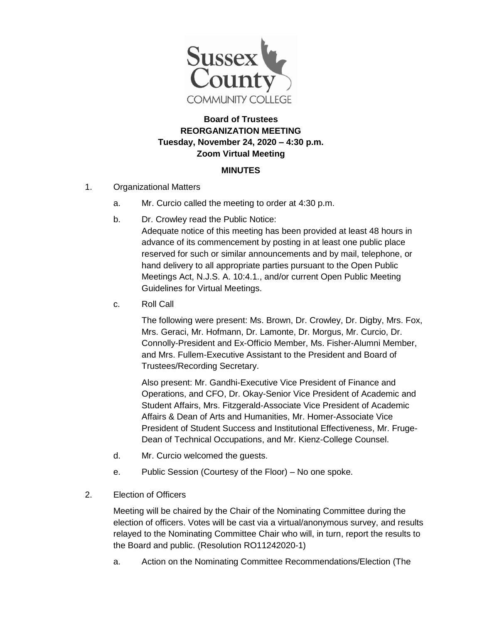

## **Board of Trustees REORGANIZATION MEETING Tuesday, November 24, 2020 – 4:30 p.m. Zoom Virtual Meeting**

## **MINUTES**

- 1. Organizational Matters
	- a. Mr. Curcio called the meeting to order at 4:30 p.m.
	- b. Dr. Crowley read the Public Notice:

Adequate notice of this meeting has been provided at least 48 hours in advance of its commencement by posting in at least one public place reserved for such or similar announcements and by mail, telephone, or hand delivery to all appropriate parties pursuant to the Open Public Meetings Act, N.J.S. A. 10:4.1., and/or current Open Public Meeting Guidelines for Virtual Meetings.

c. Roll Call

The following were present: Ms. Brown, Dr. Crowley, Dr. Digby, Mrs. Fox, Mrs. Geraci, Mr. Hofmann, Dr. Lamonte, Dr. Morgus, Mr. Curcio, Dr. Connolly-President and Ex-Officio Member, Ms. Fisher-Alumni Member, and Mrs. Fullem-Executive Assistant to the President and Board of Trustees/Recording Secretary.

Also present: Mr. Gandhi-Executive Vice President of Finance and Operations, and CFO, Dr. Okay-Senior Vice President of Academic and Student Affairs, Mrs. Fitzgerald-Associate Vice President of Academic Affairs & Dean of Arts and Humanities, Mr. Homer-Associate Vice President of Student Success and Institutional Effectiveness, Mr. Fruge-Dean of Technical Occupations, and Mr. Kienz-College Counsel.

- d. Mr. Curcio welcomed the guests.
- e. Public Session (Courtesy of the Floor) No one spoke.
- 2. Election of Officers

Meeting will be chaired by the Chair of the Nominating Committee during the election of officers. Votes will be cast via a virtual/anonymous survey, and results relayed to the Nominating Committee Chair who will, in turn, report the results to the Board and public. (Resolution RO11242020-1)

a. Action on the Nominating Committee Recommendations/Election (The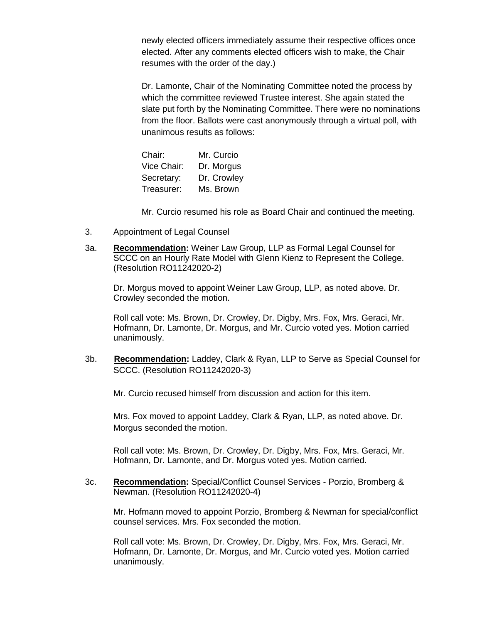newly elected officers immediately assume their respective offices once elected. After any comments elected officers wish to make, the Chair resumes with the order of the day.)

Dr. Lamonte, Chair of the Nominating Committee noted the process by which the committee reviewed Trustee interest. She again stated the slate put forth by the Nominating Committee. There were no nominations from the floor. Ballots were cast anonymously through a virtual poll, with unanimous results as follows:

| Chair:      | Mr. Curcio  |
|-------------|-------------|
| Vice Chair: | Dr. Morgus  |
| Secretary:  | Dr. Crowley |
| Treasurer:  | Ms. Brown   |

Mr. Curcio resumed his role as Board Chair and continued the meeting.

- 3. Appointment of Legal Counsel
- 3a. **Recommendation:** Weiner Law Group, LLP as Formal Legal Counsel for SCCC on an Hourly Rate Model with Glenn Kienz to Represent the College. (Resolution RO11242020-2)

Dr. Morgus moved to appoint Weiner Law Group, LLP, as noted above. Dr. Crowley seconded the motion.

Roll call vote: Ms. Brown, Dr. Crowley, Dr. Digby, Mrs. Fox, Mrs. Geraci, Mr. Hofmann, Dr. Lamonte, Dr. Morgus, and Mr. Curcio voted yes. Motion carried unanimously.

3b. **Recommendation:** Laddey, Clark & Ryan, LLP to Serve as Special Counsel for SCCC. (Resolution RO11242020-3)

Mr. Curcio recused himself from discussion and action for this item.

Mrs. Fox moved to appoint Laddey, Clark & Ryan, LLP, as noted above. Dr. Morgus seconded the motion.

Roll call vote: Ms. Brown, Dr. Crowley, Dr. Digby, Mrs. Fox, Mrs. Geraci, Mr. Hofmann, Dr. Lamonte, and Dr. Morgus voted yes. Motion carried.

3c. **Recommendation:** Special/Conflict Counsel Services - Porzio, Bromberg & Newman. (Resolution RO11242020-4)

Mr. Hofmann moved to appoint Porzio, Bromberg & Newman for special/conflict counsel services. Mrs. Fox seconded the motion.

Roll call vote: Ms. Brown, Dr. Crowley, Dr. Digby, Mrs. Fox, Mrs. Geraci, Mr. Hofmann, Dr. Lamonte, Dr. Morgus, and Mr. Curcio voted yes. Motion carried unanimously.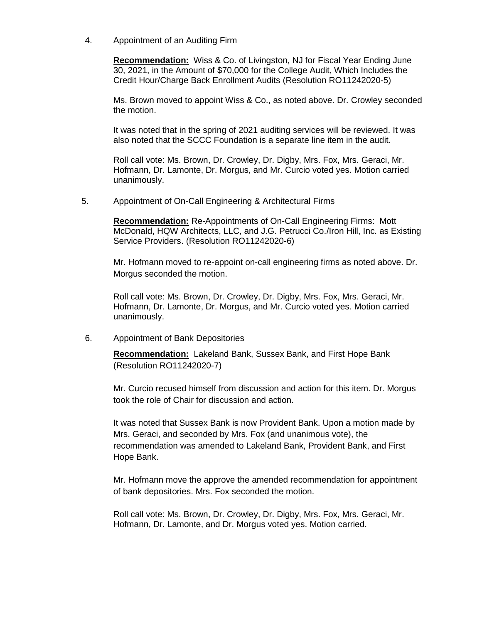4. Appointment of an Auditing Firm

**Recommendation:** Wiss & Co. of Livingston, NJ for Fiscal Year Ending June 30, 2021, in the Amount of \$70,000 for the College Audit, Which Includes the Credit Hour/Charge Back Enrollment Audits (Resolution RO11242020-5)

Ms. Brown moved to appoint Wiss & Co., as noted above. Dr. Crowley seconded the motion.

It was noted that in the spring of 2021 auditing services will be reviewed. It was also noted that the SCCC Foundation is a separate line item in the audit.

Roll call vote: Ms. Brown, Dr. Crowley, Dr. Digby, Mrs. Fox, Mrs. Geraci, Mr. Hofmann, Dr. Lamonte, Dr. Morgus, and Mr. Curcio voted yes. Motion carried unanimously.

5. Appointment of On-Call Engineering & Architectural Firms

**Recommendation:** Re-Appointments of On-Call Engineering Firms: Mott McDonald, HQW Architects, LLC, and J.G. Petrucci Co./Iron Hill, Inc. as Existing Service Providers. (Resolution RO11242020-6)

Mr. Hofmann moved to re-appoint on-call engineering firms as noted above. Dr. Morgus seconded the motion.

Roll call vote: Ms. Brown, Dr. Crowley, Dr. Digby, Mrs. Fox, Mrs. Geraci, Mr. Hofmann, Dr. Lamonte, Dr. Morgus, and Mr. Curcio voted yes. Motion carried unanimously.

6. Appointment of Bank Depositories

**Recommendation:** Lakeland Bank, Sussex Bank, and First Hope Bank (Resolution RO11242020-7)

Mr. Curcio recused himself from discussion and action for this item. Dr. Morgus took the role of Chair for discussion and action.

It was noted that Sussex Bank is now Provident Bank. Upon a motion made by Mrs. Geraci, and seconded by Mrs. Fox (and unanimous vote), the recommendation was amended to Lakeland Bank, Provident Bank, and First Hope Bank.

Mr. Hofmann move the approve the amended recommendation for appointment of bank depositories. Mrs. Fox seconded the motion.

Roll call vote: Ms. Brown, Dr. Crowley, Dr. Digby, Mrs. Fox, Mrs. Geraci, Mr. Hofmann, Dr. Lamonte, and Dr. Morgus voted yes. Motion carried.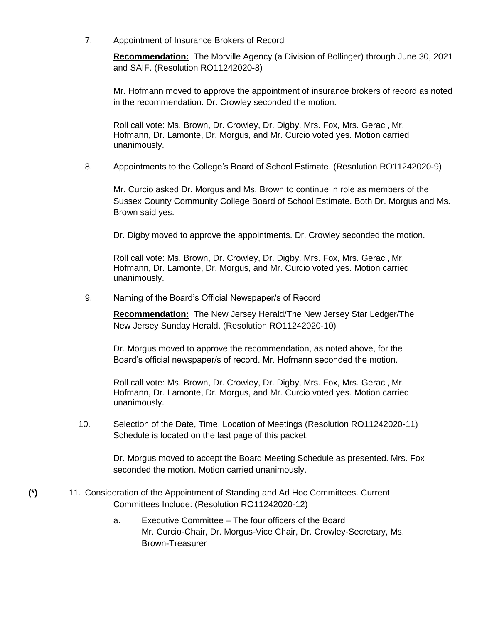7. Appointment of Insurance Brokers of Record

**Recommendation:** The Morville Agency (a Division of Bollinger) through June 30, 2021 and SAIF. (Resolution RO11242020-8)

Mr. Hofmann moved to approve the appointment of insurance brokers of record as noted in the recommendation. Dr. Crowley seconded the motion.

Roll call vote: Ms. Brown, Dr. Crowley, Dr. Digby, Mrs. Fox, Mrs. Geraci, Mr. Hofmann, Dr. Lamonte, Dr. Morgus, and Mr. Curcio voted yes. Motion carried unanimously.

8. Appointments to the College's Board of School Estimate. (Resolution RO11242020-9)

Mr. Curcio asked Dr. Morgus and Ms. Brown to continue in role as members of the Sussex County Community College Board of School Estimate. Both Dr. Morgus and Ms. Brown said yes.

Dr. Digby moved to approve the appointments. Dr. Crowley seconded the motion.

Roll call vote: Ms. Brown, Dr. Crowley, Dr. Digby, Mrs. Fox, Mrs. Geraci, Mr. Hofmann, Dr. Lamonte, Dr. Morgus, and Mr. Curcio voted yes. Motion carried unanimously.

9. Naming of the Board's Official Newspaper/s of Record

**Recommendation:** The New Jersey Herald/The New Jersey Star Ledger/The New Jersey Sunday Herald. (Resolution RO11242020-10)

Dr. Morgus moved to approve the recommendation, as noted above, for the Board's official newspaper/s of record. Mr. Hofmann seconded the motion.

Roll call vote: Ms. Brown, Dr. Crowley, Dr. Digby, Mrs. Fox, Mrs. Geraci, Mr. Hofmann, Dr. Lamonte, Dr. Morgus, and Mr. Curcio voted yes. Motion carried unanimously.

10. Selection of the Date, Time, Location of Meetings (Resolution RO11242020-11) Schedule is located on the last page of this packet.

> Dr. Morgus moved to accept the Board Meeting Schedule as presented. Mrs. Fox seconded the motion. Motion carried unanimously.

- **(\*)** 11. Consideration of the Appointment of Standing and Ad Hoc Committees. Current Committees Include: (Resolution RO11242020-12)
	- a. Executive Committee The four officers of the Board Mr. Curcio-Chair, Dr. Morgus-Vice Chair, Dr. Crowley-Secretary, Ms. Brown-Treasurer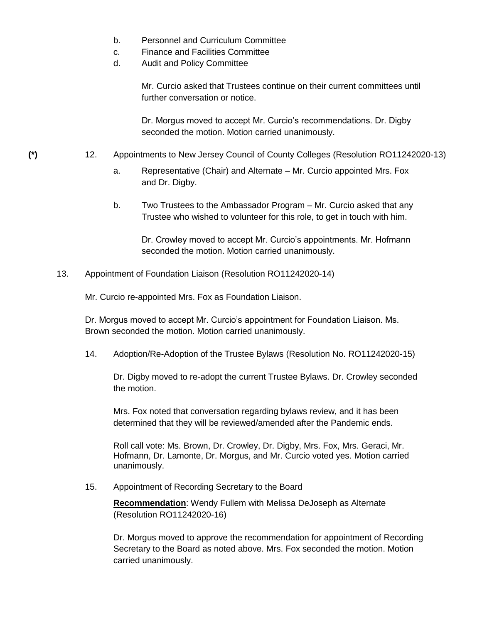- b. Personnel and Curriculum Committee
- c. Finance and Facilities Committee
- d. Audit and Policy Committee

Mr. Curcio asked that Trustees continue on their current committees until further conversation or notice.

Dr. Morgus moved to accept Mr. Curcio's recommendations. Dr. Digby seconded the motion. Motion carried unanimously.

- **(\*)** 12. Appointments to New Jersey Council of County Colleges (Resolution RO11242020-13)
	- a. Representative (Chair) and Alternate Mr. Curcio appointed Mrs. Fox and Dr. Digby.
	- b. Two Trustees to the Ambassador Program Mr. Curcio asked that any Trustee who wished to volunteer for this role, to get in touch with him.

Dr. Crowley moved to accept Mr. Curcio's appointments. Mr. Hofmann seconded the motion. Motion carried unanimously.

13. Appointment of Foundation Liaison (Resolution RO11242020-14)

Mr. Curcio re-appointed Mrs. Fox as Foundation Liaison.

Dr. Morgus moved to accept Mr. Curcio's appointment for Foundation Liaison. Ms. Brown seconded the motion. Motion carried unanimously.

14. Adoption/Re-Adoption of the Trustee Bylaws (Resolution No. RO11242020-15)

Dr. Digby moved to re-adopt the current Trustee Bylaws. Dr. Crowley seconded the motion.

Mrs. Fox noted that conversation regarding bylaws review, and it has been determined that they will be reviewed/amended after the Pandemic ends.

Roll call vote: Ms. Brown, Dr. Crowley, Dr. Digby, Mrs. Fox, Mrs. Geraci, Mr. Hofmann, Dr. Lamonte, Dr. Morgus, and Mr. Curcio voted yes. Motion carried unanimously.

15. Appointment of Recording Secretary to the Board

**Recommendation**: Wendy Fullem with Melissa DeJoseph as Alternate (Resolution RO11242020-16)

Dr. Morgus moved to approve the recommendation for appointment of Recording Secretary to the Board as noted above. Mrs. Fox seconded the motion. Motion carried unanimously.